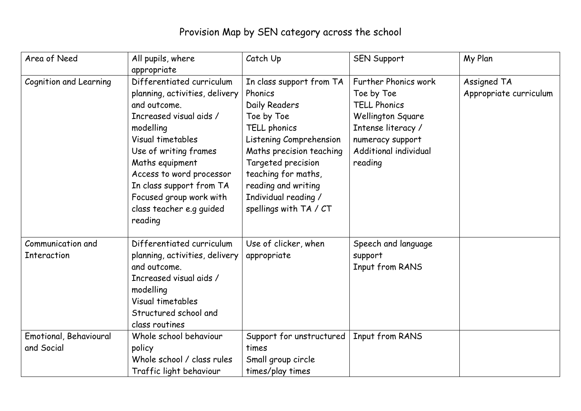## Provision Map by SEN category across the school

| Area of Need                            | All pupils, where<br>appropriate                                                                                                                                                                                                                                                                               | Catch Up                                                                                                                                                                                                                                                        | <b>SEN Support</b>                                                                                                                                           | My Plan                               |
|-----------------------------------------|----------------------------------------------------------------------------------------------------------------------------------------------------------------------------------------------------------------------------------------------------------------------------------------------------------------|-----------------------------------------------------------------------------------------------------------------------------------------------------------------------------------------------------------------------------------------------------------------|--------------------------------------------------------------------------------------------------------------------------------------------------------------|---------------------------------------|
| Cognition and Learning                  | Differentiated curriculum<br>planning, activities, delivery<br>and outcome.<br>Increased visual aids /<br>modelling<br>Visual timetables<br>Use of writing frames<br>Maths equipment<br>Access to word processor<br>In class support from TA<br>Focused group work with<br>class teacher e.g guided<br>reading | In class support from TA<br>Phonics<br>Daily Readers<br>Toe by Toe<br>TELL phonics<br>Listening Comprehension<br>Maths precision teaching<br>Targeted precision<br>teaching for maths,<br>reading and writing<br>Individual reading /<br>spellings with TA / CT | Further Phonics work<br>Toe by Toe<br><b>TELL Phonics</b><br>Wellington Square<br>Intense literacy /<br>numeracy support<br>Additional individual<br>reading | Assigned TA<br>Appropriate curriculum |
| Communication and<br><b>Interaction</b> | Differentiated curriculum<br>planning, activities, delivery<br>and outcome.<br>Increased visual aids /<br>modelling<br>Visual timetables<br>Structured school and<br>class routines                                                                                                                            | Use of clicker, when<br>appropriate                                                                                                                                                                                                                             | Speech and language<br>support<br>Input from RANS                                                                                                            |                                       |
| Emotional, Behavioural<br>and Social    | Whole school behaviour<br>policy<br>Whole school / class rules<br>Traffic light behaviour                                                                                                                                                                                                                      | Support for unstructured<br>times<br>Small group circle<br>times/play times                                                                                                                                                                                     | Input from RANS                                                                                                                                              |                                       |